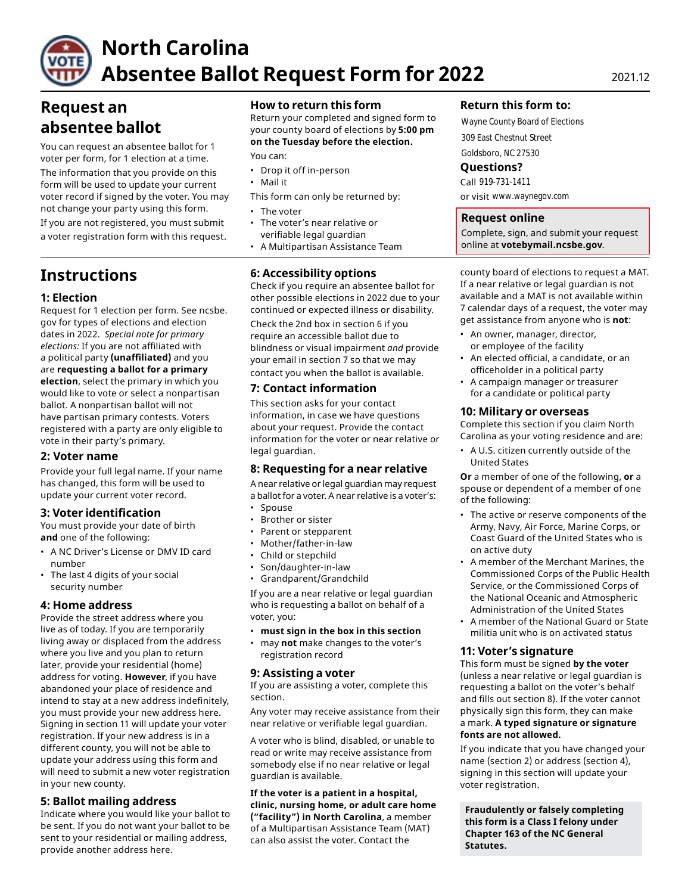

# **North Carolina Absentee Ballot Request Form for 2022** 2021.12

# **Request an absentee ballot**

You can request an absentee ballot for 1 voter per form, for 1 election at a time.

The information that you provide on this form will be used to update your current voter record if signed by the voter. You may not change your party using this form. • The voter

If you are not registered, you must submit • The voter's near relative or a voter registration form with this request.

# **Instructions**

# **1: Election**

Request for 1 election per form. See ncsbe. gov for types of elections and election dates in 2022. *Special note for primary elections:* If you are not affiliated with a political party **(unaffiliated)** and you are **requesting a ballot for a primary election**, select the primary in which you would like to vote or select a nonpartisan ballot. A nonpartisan ballot will not have partisan primary contests. Voters registered with a party are only eligible to vote in their party's primary.

# **2: Voter name**

Provide your full legal name. If your name has changed, this form will be used to update your current voter record.

# **3: Voter identification**

You must provide your date of birth **and** one of the following:

- A NC Driver's License or DMV ID card number
- The last 4 digits of your social security number

# **4: Home address**

Provide the street address where you live as of today. If you are temporarily living away or displaced from the address where you live and you plan to return later, provide your residential (home) address for voting. **However**, if you have abandoned your place of residence and intend to stay at a new address indefinitely, you must provide your new address here. Signing in section 11 will update your voter registration. If your new address is in a different county, you will not be able to update your address using this form and will need to submit a new voter registration in your new county.

# **5: Ballot mailing address**

Indicate where you would like your ballot to be sent. If you do not want your ballot to be sent to your residential or mailing address, provide another address here.

# **How to return this form**

Return your completed and signed form to your county board of elections by **5:00 pm on the Tuesday before the election.** 

You can:

- Drop it off in-person
- Mail it
- This form can only be returned by:
- 
- verifiable legal guardian
- A Multipartisan Assistance Team

# **6: Accessibility options**

Check if you require an absentee ballot for other possible elections in 2022 due to your continued or expected illness or disability.

Check the 2nd box in section 6 if you require an accessible ballot due to blindness or visual impairment *and* provide your email in section 7 so that we may contact you when the ballot is available.

# **7: Contact information**

This section asks for your contact information, in case we have questions about your request. Provide the contact information for the voter or near relative or legal guardian.

# **8: Requesting for a near relative**

A near relative or legal guardian may request a ballot for a voter. A near relative is a voter's:

- Spouse
- Brother or sister
- Parent or stepparent
- Mother/father-in-law
- Child or stepchild
- Son/daughter-in-law
- Grandparent/Grandchild

If you are a near relative or legal guardian who is requesting a ballot on behalf of a voter, you:

- **must sign in the box in this section**
- may **not** make changes to the voter's registration record

# **9: Assisting a voter**

If you are assisting a voter, complete this section.

Any voter may receive assistance from their near relative or verifiable legal guardian.

A voter who is blind, disabled, or unable to read or write may receive assistance from somebody else if no near relative or legal guardian is available.

**If the voter is a patient in a hospital, clinic, nursing home, or adult care home ("facility") in North Carolina**, a member of a Multipartisan Assistance Team (MAT) can also assist the voter. Contact the

### **Return this form to:**

Wayne County Board of Elections 309 East Chestnut Street Goldsboro, NC 27530

### **Questions?**

Call 919-731-1411 or visit www.waynegov.com

### **Request online**

Complete, sign, and submit your request online at **[votebymail.ncsbe.gov](https://votebymail.ncsbe.gov)**.

county board of elections to request a MAT. If a near relative or legal guardian is not available and a MAT is not available within 7 calendar days of a request, the voter may get assistance from anyone who is **not**:

- An owner, manager, director, or employee of the facility
- An elected official, a candidate, or an officeholder in a political party
- A campaign manager or treasurer for a candidate or political party

#### **10: Military or overseas**

Complete this section if you claim North Carolina as your voting residence and are:

• A U.S. citizen currently outside of the United States

**Or** a member of one of the following, **or** a spouse or dependent of a member of one of the following:

- The active or reserve components of the Army, Navy, Air Force, Marine Corps, or Coast Guard of the United States who is on active duty
- A member of the Merchant Marines, the Commissioned Corps of the Public Health Service, or the Commissioned Corps of the National Oceanic and Atmospheric Administration of the United States
- A member of the National Guard or State militia unit who is on activated status

#### **11: Voter's signature**

This form must be signed **by the voter**  (unless a near relative or legal guardian is requesting a ballot on the voter's behalf and fills out section 8). If the voter cannot physically sign this form, they can make a mark. **A typed signature or signature fonts are not allowed.** 

If you indicate that you have changed your name (section 2) or address (section 4), signing in this section will update your voter registration.

**Fraudulently or falsely completing this form is a Class I felony under Chapter 163 of the NC General Statutes.**